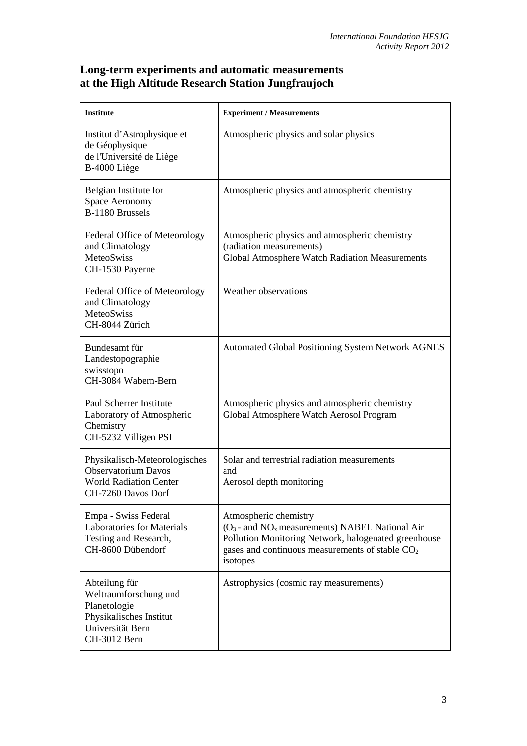## **Long-term experiments and automatic measurements at the High Altitude Research Station Jungfraujoch**

| <b>Institute</b>                                                                                                      | <b>Experiment / Measurements</b>                                                                                                                                                                       |
|-----------------------------------------------------------------------------------------------------------------------|--------------------------------------------------------------------------------------------------------------------------------------------------------------------------------------------------------|
| Institut d'Astrophysique et<br>de Géophysique<br>de l'Université de Liège<br>B-4000 Liège                             | Atmospheric physics and solar physics                                                                                                                                                                  |
| Belgian Institute for<br>Space Aeronomy<br>B-1180 Brussels                                                            | Atmospheric physics and atmospheric chemistry                                                                                                                                                          |
| Federal Office of Meteorology<br>and Climatology<br>MeteoSwiss<br>CH-1530 Payerne                                     | Atmospheric physics and atmospheric chemistry<br>(radiation measurements)<br>Global Atmosphere Watch Radiation Measurements                                                                            |
| Federal Office of Meteorology<br>and Climatology<br><b>MeteoSwiss</b><br>CH-8044 Zürich                               | Weather observations                                                                                                                                                                                   |
| Bundesamt für<br>Landestopographie<br>swisstopo<br>CH-3084 Wabern-Bern                                                | <b>Automated Global Positioning System Network AGNES</b>                                                                                                                                               |
| Paul Scherrer Institute<br>Laboratory of Atmospheric<br>Chemistry<br>CH-5232 Villigen PSI                             | Atmospheric physics and atmospheric chemistry<br>Global Atmosphere Watch Aerosol Program                                                                                                               |
| Physikalisch-Meteorologisches<br><b>Observatorium Davos</b><br><b>World Radiation Center</b><br>CH-7260 Davos Dorf    | Solar and terrestrial radiation measurements<br>and<br>Aerosol depth monitoring                                                                                                                        |
| Empa - Swiss Federal<br><b>Laboratories for Materials</b><br>Testing and Research,<br>CH-8600 Dübendorf               | Atmospheric chemistry<br>$(O_3$ - and $NO_x$ measurements) NABEL National Air<br>Pollution Monitoring Network, halogenated greenhouse<br>gases and continuous measurements of stable $CO2$<br>isotopes |
| Abteilung für<br>Weltraumforschung und<br>Planetologie<br>Physikalisches Institut<br>Universität Bern<br>CH-3012 Bern | Astrophysics (cosmic ray measurements)                                                                                                                                                                 |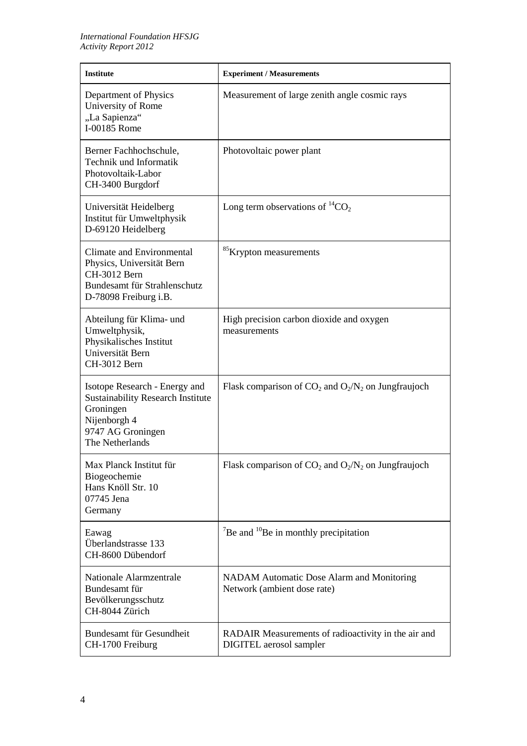| <b>Institute</b>                                                                                                                               | <b>Experiment / Measurements</b>                                               |
|------------------------------------------------------------------------------------------------------------------------------------------------|--------------------------------------------------------------------------------|
| Department of Physics<br>University of Rome<br>"La Sapienza"<br>I-00185 Rome                                                                   | Measurement of large zenith angle cosmic rays                                  |
| Berner Fachhochschule,<br>Technik und Informatik<br>Photovoltaik-Labor<br>CH-3400 Burgdorf                                                     | Photovoltaic power plant                                                       |
| Universität Heidelberg<br>Institut für Umweltphysik<br>D-69120 Heidelberg                                                                      | Long term observations of ${}^{14}CO_2$                                        |
| Climate and Environmental<br>Physics, Universität Bern<br>CH-3012 Bern<br>Bundesamt für Strahlenschutz<br>D-78098 Freiburg i.B.                | <sup>85</sup> Krypton measurements                                             |
| Abteilung für Klima- und<br>Umweltphysik,<br>Physikalisches Institut<br>Universität Bern<br>CH-3012 Bern                                       | High precision carbon dioxide and oxygen<br>measurements                       |
| Isotope Research - Energy and<br><b>Sustainability Research Institute</b><br>Groningen<br>Nijenborgh 4<br>9747 AG Groningen<br>The Netherlands | Flask comparison of $CO_2$ and $O_2/N_2$ on Jungfraujoch                       |
| Max Planck Institut für<br>Biogeochemie<br>Hans Knöll Str. 10<br>07745 Jena<br>Germany                                                         | Flask comparison of $CO_2$ and $O_2/N_2$ on Jungfraujoch                       |
| Eawag<br>Überlandstrasse 133<br>CH-8600 Dübendorf                                                                                              | $\mathrm{^{7}Be}$ and $\mathrm{^{10}Be}$ in monthly precipitation              |
| Nationale Alarmzentrale<br>Bundesamt für<br>Bevölkerungsschutz<br>CH-8044 Zürich                                                               | NADAM Automatic Dose Alarm and Monitoring<br>Network (ambient dose rate)       |
| Bundesamt für Gesundheit<br>CH-1700 Freiburg                                                                                                   | RADAIR Measurements of radioactivity in the air and<br>DIGITEL aerosol sampler |